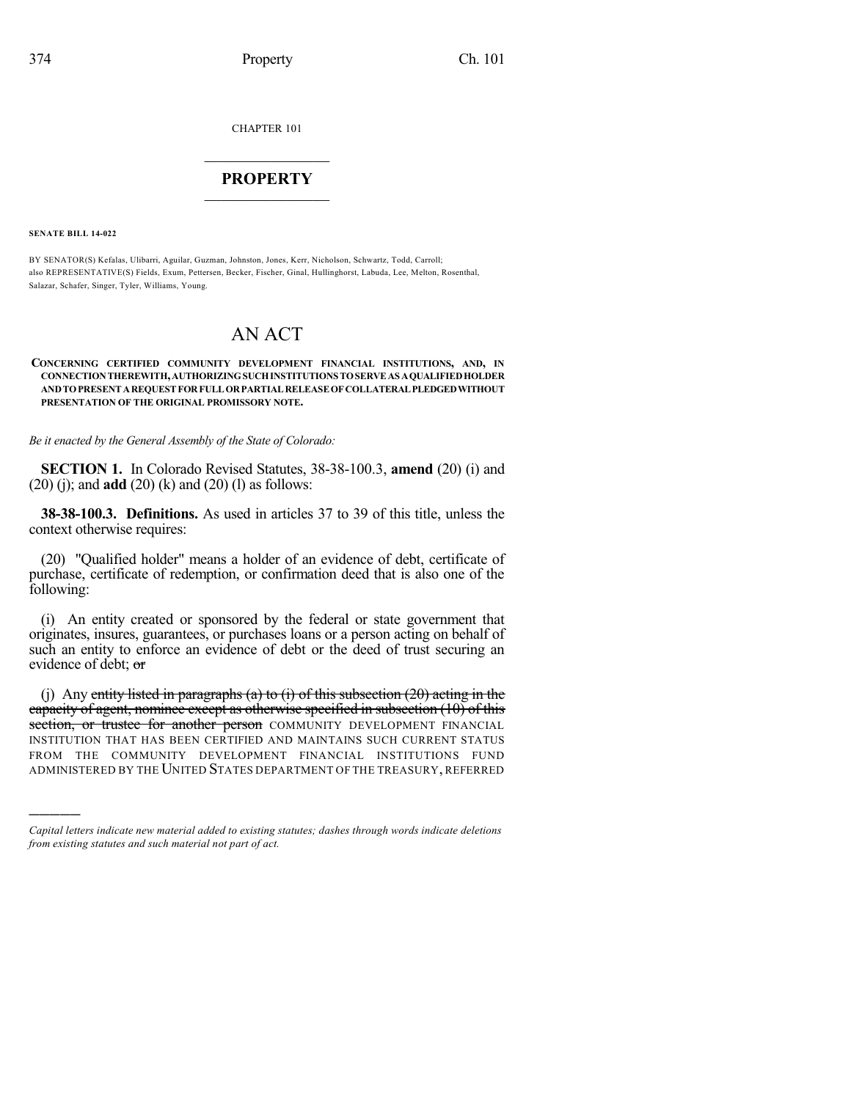CHAPTER 101

## $\mathcal{L}_\text{max}$  . The set of the set of the set of the set of the set of the set of the set of the set of the set of the set of the set of the set of the set of the set of the set of the set of the set of the set of the set **PROPERTY**  $\_$   $\_$   $\_$   $\_$   $\_$   $\_$   $\_$   $\_$   $\_$

**SENATE BILL 14-022**

)))))

BY SENATOR(S) Kefalas, Ulibarri, Aguilar, Guzman, Johnston, Jones, Kerr, Nicholson, Schwartz, Todd, Carroll; also REPRESENTATIVE(S) Fields, Exum, Pettersen, Becker, Fischer, Ginal, Hullinghorst, Labuda, Lee, Melton, Rosenthal, Salazar, Schafer, Singer, Tyler, Williams, Young.

## AN ACT

## **CONCERNING CERTIFIED COMMUNITY DEVELOPMENT FINANCIAL INSTITUTIONS, AND, IN CONNECTIONTHEREWITH,AUTHORIZINGSUCHINSTITUTIONS TOSERVEAS AQUALIFIEDHOLDER ANDTOPRESENTAREQUESTFORFULLORPARTIALRELEASEOFCOLLATERALPLEDGEDWITHOUT PRESENTATION OF THE ORIGINAL PROMISSORY NOTE.**

*Be it enacted by the General Assembly of the State of Colorado:*

**SECTION 1.** In Colorado Revised Statutes, 38-38-100.3, **amend** (20) (i) and (20) (j); and **add** (20) (k) and (20) (l) as follows:

**38-38-100.3. Definitions.** As used in articles 37 to 39 of this title, unless the context otherwise requires:

(20) "Qualified holder" means a holder of an evidence of debt, certificate of purchase, certificate of redemption, or confirmation deed that is also one of the following:

(i) An entity created or sponsored by the federal or state government that originates, insures, guarantees, or purchases loans or a person acting on behalf of such an entity to enforce an evidence of debt or the deed of trust securing an evidence of debt; or

(j) Any entity listed in paragraphs (a) to (i) of this subsection  $(20)$  acting in the capacity of agent, nominee except as otherwise specified in subsection (10) of this section, or trustee for another person COMMUNITY DEVELOPMENT FINANCIAL INSTITUTION THAT HAS BEEN CERTIFIED AND MAINTAINS SUCH CURRENT STATUS FROM THE COMMUNITY DEVELOPMENT FINANCIAL INSTITUTIONS FUND ADMINISTERED BY THE UNITED STATES DEPARTMENT OF THE TREASURY, REFERRED

*Capital letters indicate new material added to existing statutes; dashes through words indicate deletions from existing statutes and such material not part of act.*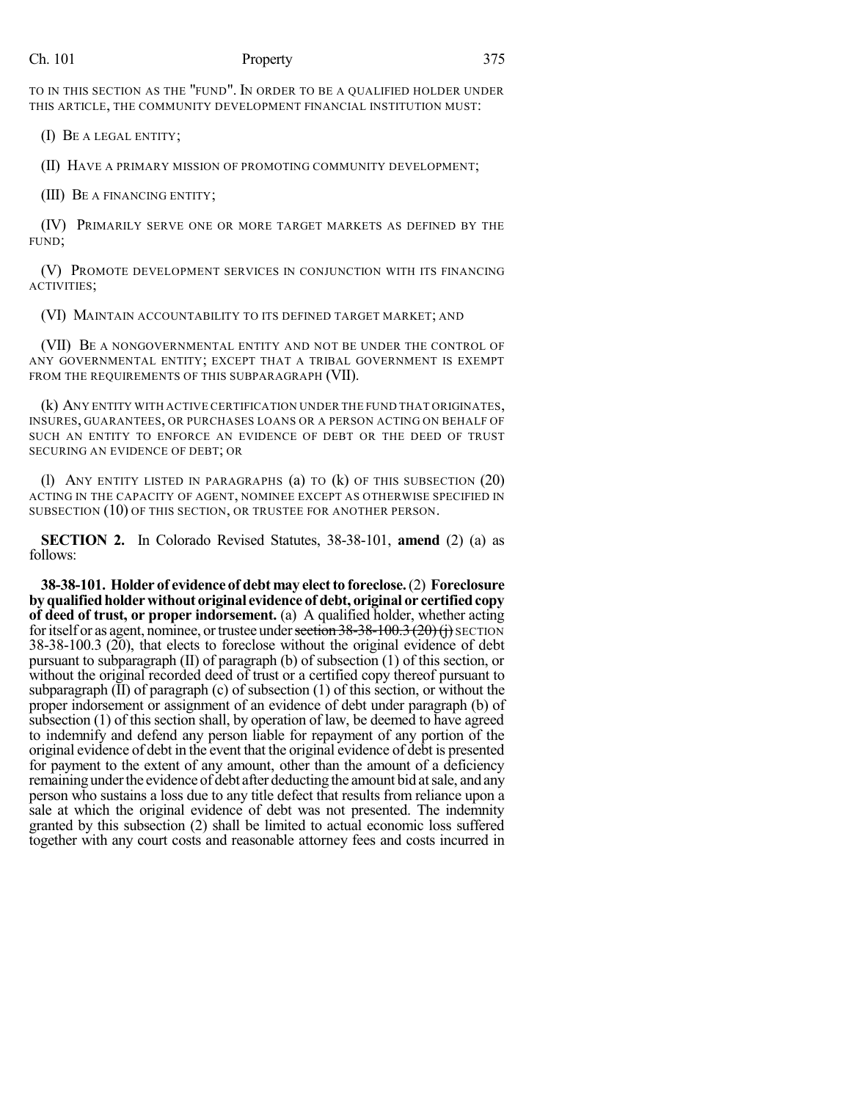## Ch. 101 Property 375

TO IN THIS SECTION AS THE "FUND". IN ORDER TO BE A QUALIFIED HOLDER UNDER THIS ARTICLE, THE COMMUNITY DEVELOPMENT FINANCIAL INSTITUTION MUST:

(I) BE A LEGAL ENTITY;

(II) HAVE A PRIMARY MISSION OF PROMOTING COMMUNITY DEVELOPMENT;

(III) BE A FINANCING ENTITY;

(IV) PRIMARILY SERVE ONE OR MORE TARGET MARKETS AS DEFINED BY THE FUND;

(V) PROMOTE DEVELOPMENT SERVICES IN CONJUNCTION WITH ITS FINANCING ACTIVITIES;

(VI) MAINTAIN ACCOUNTABILITY TO ITS DEFINED TARGET MARKET; AND

(VII) BE A NONGOVERNMENTAL ENTITY AND NOT BE UNDER THE CONTROL OF ANY GOVERNMENTAL ENTITY; EXCEPT THAT A TRIBAL GOVERNMENT IS EXEMPT FROM THE REQUIREMENTS OF THIS SUBPARAGRAPH (VII).

(k) ANY ENTITY WITH ACTIVE CERTIFICATION UNDER THE FUND THAT ORIGINATES, INSURES, GUARANTEES, OR PURCHASES LOANS OR A PERSON ACTING ON BEHALF OF SUCH AN ENTITY TO ENFORCE AN EVIDENCE OF DEBT OR THE DEED OF TRUST SECURING AN EVIDENCE OF DEBT; OR

(1) ANY ENTITY LISTED IN PARAGRAPHS  $(a)$  to  $(k)$  of this subsection  $(20)$ ACTING IN THE CAPACITY OF AGENT, NOMINEE EXCEPT AS OTHERWISE SPECIFIED IN SUBSECTION (10) OF THIS SECTION, OR TRUSTEE FOR ANOTHER PERSON.

**SECTION 2.** In Colorado Revised Statutes, 38-38-101, **amend** (2) (a) as follows:

**38-38-101. Holder of evidence of debt may electto foreclose.**(2) **Foreclosure byqualifiedholderwithout original evidence of debt, original or certifiedcopy of deed of trust, or proper indorsement.** (a) A qualified holder, whether acting for itself or as agent, nominee, or trustee under section  $38-38-100.3$  (20)(j) SECTION 38-38-100.3 (20), that elects to foreclose without the original evidence of debt pursuant to subparagraph (II) of paragraph (b) of subsection (1) of this section, or without the original recorded deed of trust or a certified copy thereof pursuant to subparagraph  $(II)$  of paragraph  $(c)$  of subsection  $(1)$  of this section, or without the proper indorsement or assignment of an evidence of debt under paragraph (b) of subsection (1) of this section shall, by operation of law, be deemed to have agreed to indemnify and defend any person liable for repayment of any portion of the original evidence of debt in the event that the original evidence of debt is presented for payment to the extent of any amount, other than the amount of a deficiency remaining under the evidence of debt after deducting the amount bid at sale, and any person who sustains a loss due to any title defect that results from reliance upon a sale at which the original evidence of debt was not presented. The indemnity granted by this subsection (2) shall be limited to actual economic loss suffered together with any court costs and reasonable attorney fees and costs incurred in